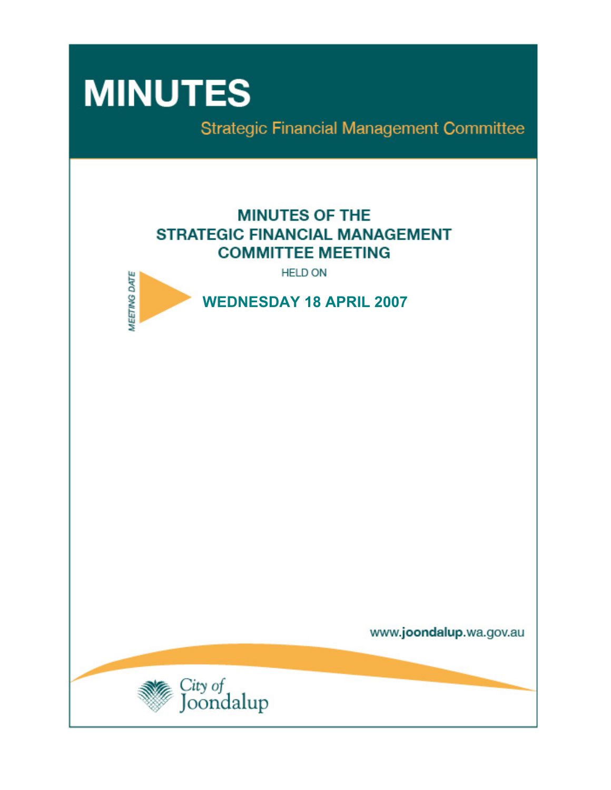# **MINUTES**

**Strategic Financial Management Committee** 

# **MINUTES OF THE STRATEGIC FINANCIAL MANAGEMENT COMMITTEE MEETING**

**HELD ON** 



www.joondalup.wa.gov.au

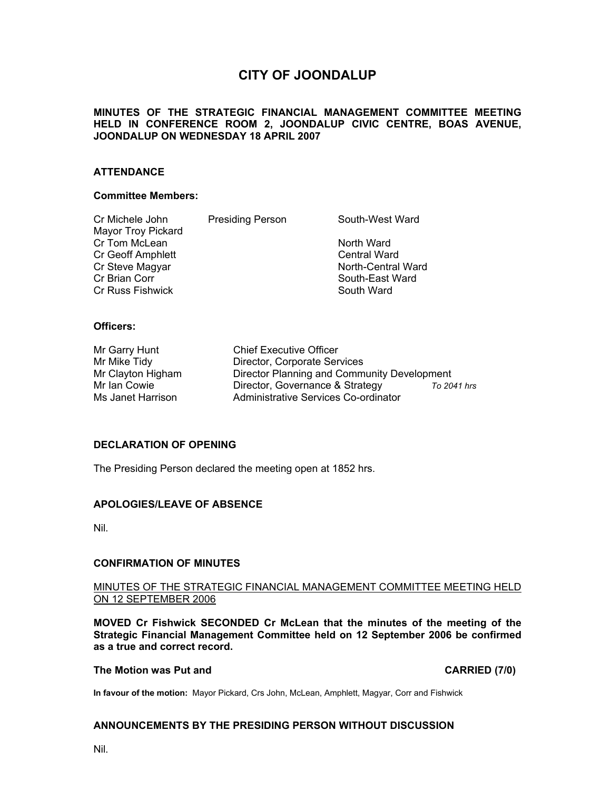# **CITY OF JOONDALUP**

#### **MINUTES OF THE STRATEGIC FINANCIAL MANAGEMENT COMMITTEE MEETING HELD IN CONFERENCE ROOM 2, JOONDALUP CIVIC CENTRE, BOAS AVENUE, JOONDALUP ON WEDNESDAY 18 APRIL 2007**

#### **ATTENDANCE**

#### **Committee Members:**

| Cr Michele John    | <b>Presiding Person</b> | South-West Ward     |
|--------------------|-------------------------|---------------------|
| Mayor Troy Pickard |                         |                     |
| Cr Tom McLean      |                         | North Ward          |
| Cr Geoff Amphlett  |                         | <b>Central Ward</b> |
| Cr Steve Magyar    |                         | North-Central Ward  |
| Cr Brian Corr      |                         | South-East Ward     |
| Cr Russ Fishwick   |                         | South Ward          |
|                    |                         |                     |

#### **Officers:**

| Mr Garry Hunt     |
|-------------------|
| Mr Mike Tidy      |
| Mr Clayton Higham |
| Mr Ian Cowie      |
| Ms Janet Harrison |

Chief Executive Officer Director, Corporate Services Director Planning and Community Development Director, Governance & Strategy **To 2041 hrs** Administrative Services Co-ordinator

#### **DECLARATION OF OPENING**

The Presiding Person declared the meeting open at 1852 hrs.

#### **APOLOGIES/LEAVE OF ABSENCE**

Nil.

#### **CONFIRMATION OF MINUTES**

#### MINUTES OF THE STRATEGIC FINANCIAL MANAGEMENT COMMITTEE MEETING HELD ON 12 SEPTEMBER 2006

**MOVED Cr Fishwick SECONDED Cr McLean that the minutes of the meeting of the Strategic Financial Management Committee held on 12 September 2006 be confirmed as a true and correct record.** 

#### **The Motion was Put and CARRIED (7/0) CARRIED** (7/0)

**In favour of the motion:** Mayor Pickard, Crs John, McLean, Amphlett, Magyar, Corr and Fishwick

#### **ANNOUNCEMENTS BY THE PRESIDING PERSON WITHOUT DISCUSSION**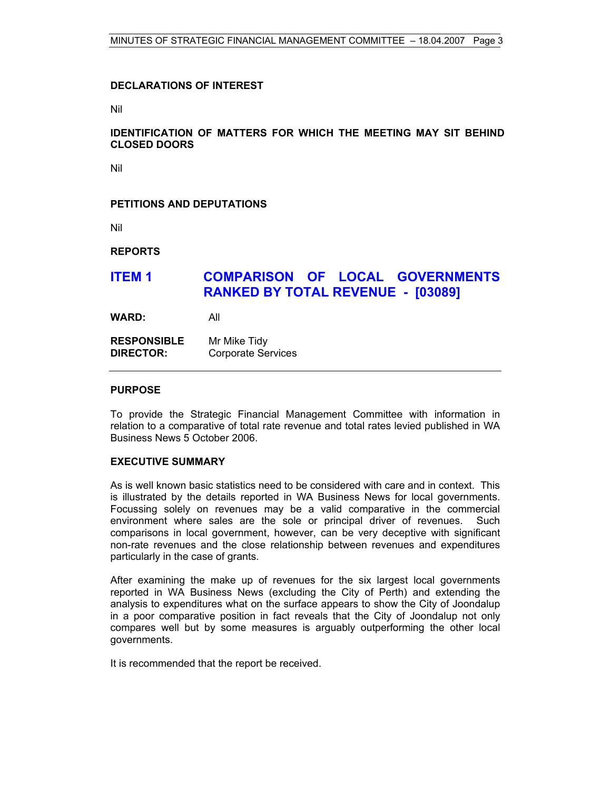#### **DECLARATIONS OF INTEREST**

Nil

#### **IDENTIFICATION OF MATTERS FOR WHICH THE MEETING MAY SIT BEHIND CLOSED DOORS**

Nil

#### **PETITIONS AND DEPUTATIONS**

Nil

**REPORTS** 

# **ITEM 1 COMPARISON OF LOCAL GOVERNMENTS RANKED BY TOTAL REVENUE - [03089]**

**WARD:** All

**RESPONSIBLE** Mr Mike Tidy **DIRECTOR:** Corporate Services

#### **PURPOSE**

To provide the Strategic Financial Management Committee with information in relation to a comparative of total rate revenue and total rates levied published in WA Business News 5 October 2006.

#### **EXECUTIVE SUMMARY**

As is well known basic statistics need to be considered with care and in context. This is illustrated by the details reported in WA Business News for local governments. Focussing solely on revenues may be a valid comparative in the commercial environment where sales are the sole or principal driver of revenues. Such comparisons in local government, however, can be very deceptive with significant non-rate revenues and the close relationship between revenues and expenditures particularly in the case of grants.

After examining the make up of revenues for the six largest local governments reported in WA Business News (excluding the City of Perth) and extending the analysis to expenditures what on the surface appears to show the City of Joondalup in a poor comparative position in fact reveals that the City of Joondalup not only compares well but by some measures is arguably outperforming the other local governments.

It is recommended that the report be received.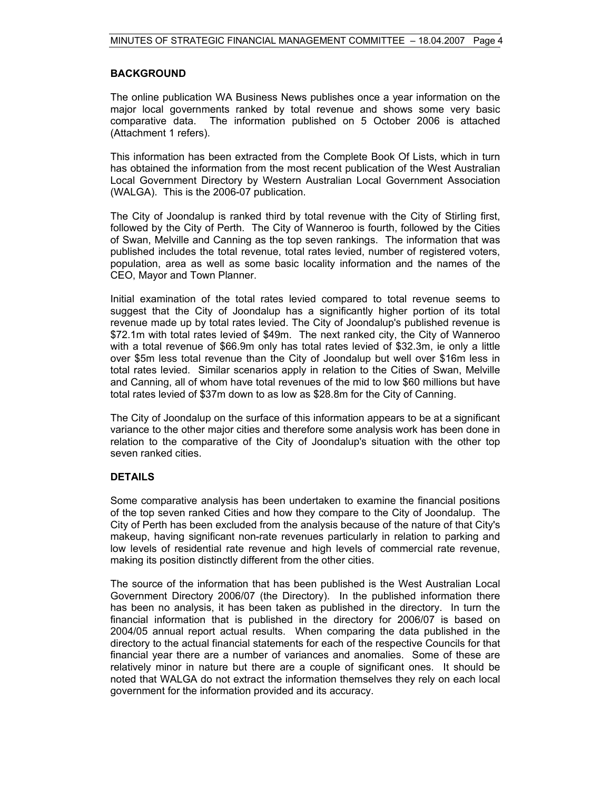#### **BACKGROUND**

The online publication WA Business News publishes once a year information on the major local governments ranked by total revenue and shows some very basic comparative data. The information published on 5 October 2006 is attached (Attachment 1 refers).

This information has been extracted from the Complete Book Of Lists, which in turn has obtained the information from the most recent publication of the West Australian Local Government Directory by Western Australian Local Government Association (WALGA). This is the 2006-07 publication.

The City of Joondalup is ranked third by total revenue with the City of Stirling first, followed by the City of Perth. The City of Wanneroo is fourth, followed by the Cities of Swan, Melville and Canning as the top seven rankings. The information that was published includes the total revenue, total rates levied, number of registered voters, population, area as well as some basic locality information and the names of the CEO, Mayor and Town Planner.

Initial examination of the total rates levied compared to total revenue seems to suggest that the City of Joondalup has a significantly higher portion of its total revenue made up by total rates levied. The City of Joondalup's published revenue is \$72.1m with total rates levied of \$49m. The next ranked city, the City of Wanneroo with a total revenue of \$66.9m only has total rates levied of \$32.3m, ie only a little over \$5m less total revenue than the City of Joondalup but well over \$16m less in total rates levied. Similar scenarios apply in relation to the Cities of Swan, Melville and Canning, all of whom have total revenues of the mid to low \$60 millions but have total rates levied of \$37m down to as low as \$28.8m for the City of Canning.

The City of Joondalup on the surface of this information appears to be at a significant variance to the other major cities and therefore some analysis work has been done in relation to the comparative of the City of Joondalup's situation with the other top seven ranked cities.

#### **DETAILS**

Some comparative analysis has been undertaken to examine the financial positions of the top seven ranked Cities and how they compare to the City of Joondalup. The City of Perth has been excluded from the analysis because of the nature of that City's makeup, having significant non-rate revenues particularly in relation to parking and low levels of residential rate revenue and high levels of commercial rate revenue, making its position distinctly different from the other cities.

The source of the information that has been published is the West Australian Local Government Directory 2006/07 (the Directory). In the published information there has been no analysis, it has been taken as published in the directory. In turn the financial information that is published in the directory for 2006/07 is based on 2004/05 annual report actual results. When comparing the data published in the directory to the actual financial statements for each of the respective Councils for that financial year there are a number of variances and anomalies. Some of these are relatively minor in nature but there are a couple of significant ones. It should be noted that WALGA do not extract the information themselves they rely on each local government for the information provided and its accuracy.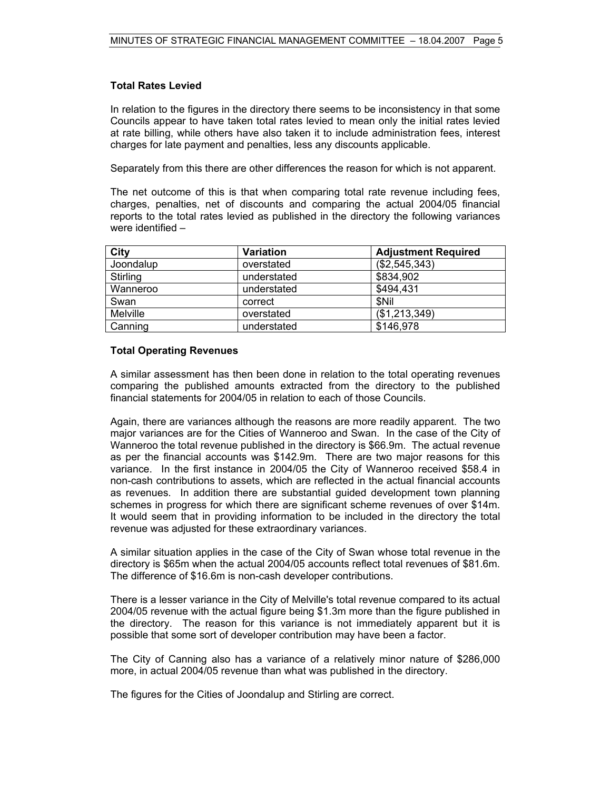#### **Total Rates Levied**

In relation to the figures in the directory there seems to be inconsistency in that some Councils appear to have taken total rates levied to mean only the initial rates levied at rate billing, while others have also taken it to include administration fees, interest charges for late payment and penalties, less any discounts applicable.

Separately from this there are other differences the reason for which is not apparent.

The net outcome of this is that when comparing total rate revenue including fees, charges, penalties, net of discounts and comparing the actual 2004/05 financial reports to the total rates levied as published in the directory the following variances were identified –

| City            | Variation   | <b>Adjustment Required</b> |
|-----------------|-------------|----------------------------|
| Joondalup       | overstated  | (\$2,545,343)              |
| Stirling        | understated | \$834,902                  |
| Wanneroo        | understated | \$494,431                  |
| Swan            | correct     | \$Nil                      |
| <b>Melville</b> | overstated  | (\$1,213,349)              |
| Canning         | understated | \$146,978                  |

#### **Total Operating Revenues**

A similar assessment has then been done in relation to the total operating revenues comparing the published amounts extracted from the directory to the published financial statements for 2004/05 in relation to each of those Councils.

Again, there are variances although the reasons are more readily apparent. The two major variances are for the Cities of Wanneroo and Swan. In the case of the City of Wanneroo the total revenue published in the directory is \$66.9m. The actual revenue as per the financial accounts was \$142.9m. There are two major reasons for this variance. In the first instance in 2004/05 the City of Wanneroo received \$58.4 in non-cash contributions to assets, which are reflected in the actual financial accounts as revenues. In addition there are substantial guided development town planning schemes in progress for which there are significant scheme revenues of over \$14m. It would seem that in providing information to be included in the directory the total revenue was adjusted for these extraordinary variances.

A similar situation applies in the case of the City of Swan whose total revenue in the directory is \$65m when the actual 2004/05 accounts reflect total revenues of \$81.6m. The difference of \$16.6m is non-cash developer contributions.

There is a lesser variance in the City of Melville's total revenue compared to its actual 2004/05 revenue with the actual figure being \$1.3m more than the figure published in the directory. The reason for this variance is not immediately apparent but it is possible that some sort of developer contribution may have been a factor.

The City of Canning also has a variance of a relatively minor nature of \$286,000 more, in actual 2004/05 revenue than what was published in the directory.

The figures for the Cities of Joondalup and Stirling are correct.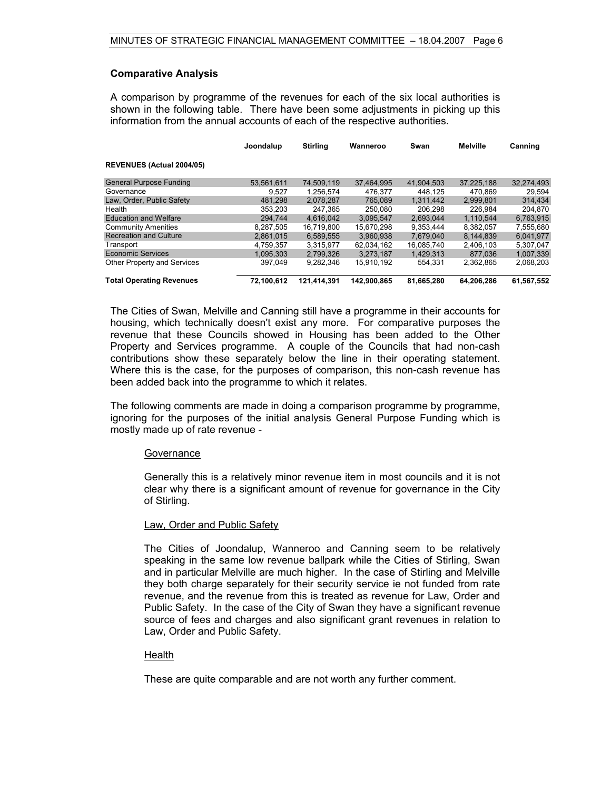#### **Comparative Analysis**

A comparison by programme of the revenues for each of the six local authorities is shown in the following table. There have been some adjustments in picking up this information from the annual accounts of each of the respective authorities.

|                                 | Joondalup  | <b>Stirling</b> | Wanneroo    | Swan       | <b>Melville</b> | Canning    |
|---------------------------------|------------|-----------------|-------------|------------|-----------------|------------|
| REVENUES (Actual 2004/05)       |            |                 |             |            |                 |            |
| <b>General Purpose Funding</b>  | 53.561.611 | 74.509.119      | 37.464.995  | 41.904.503 | 37.225.188      | 32.274.493 |
| Governance                      | 9.527      | 1.256.574       | 476.377     | 448.125    | 470.869         | 29.594     |
| Law, Order, Public Safety       | 481.298    | 2.078.287       | 765.089     | 1.311.442  | 2,999,801       | 314,434    |
| Health                          | 353.203    | 247.365         | 250,080     | 206.298    | 226.984         | 204.870    |
| <b>Education and Welfare</b>    | 294,744    | 4.616.042       | 3.095.547   | 2.693.044  | 1.110.544       | 6,763,915  |
| <b>Community Amenities</b>      | 8.287.505  | 16.719.800      | 15.670.298  | 9.353.444  | 8.382.057       | 7,555,680  |
| <b>Recreation and Culture</b>   | 2,861,015  | 6,589,555       | 3,960,938   | 7,679,040  | 8.144.839       | 6,041,977  |
| Transport                       | 4.759.357  | 3.315.977       | 62.034.162  | 16.085.740 | 2.406.103       | 5.307.047  |
| <b>Economic Services</b>        | 1.095.303  | 2.799.326       | 3.273.187   | 1.429.313  | 877.036         | 1.007.339  |
| Other Property and Services     | 397.049    | 9,282,346       | 15,910,192  | 554,331    | 2,362,865       | 2,068,203  |
| <b>Total Operating Revenues</b> | 72.100.612 | 121.414.391     | 142.900.865 | 81.665.280 | 64.206.286      | 61.567.552 |

The Cities of Swan, Melville and Canning still have a programme in their accounts for housing, which technically doesn't exist any more. For comparative purposes the revenue that these Councils showed in Housing has been added to the Other Property and Services programme. A couple of the Councils that had non-cash contributions show these separately below the line in their operating statement. Where this is the case, for the purposes of comparison, this non-cash revenue has been added back into the programme to which it relates.

The following comments are made in doing a comparison programme by programme, ignoring for the purposes of the initial analysis General Purpose Funding which is mostly made up of rate revenue -

#### **Governance**

Generally this is a relatively minor revenue item in most councils and it is not clear why there is a significant amount of revenue for governance in the City of Stirling.

#### Law, Order and Public Safety

The Cities of Joondalup, Wanneroo and Canning seem to be relatively speaking in the same low revenue ballpark while the Cities of Stirling, Swan and in particular Melville are much higher. In the case of Stirling and Melville they both charge separately for their security service ie not funded from rate revenue, and the revenue from this is treated as revenue for Law, Order and Public Safety. In the case of the City of Swan they have a significant revenue source of fees and charges and also significant grant revenues in relation to Law, Order and Public Safety.

#### **Health**

These are quite comparable and are not worth any further comment.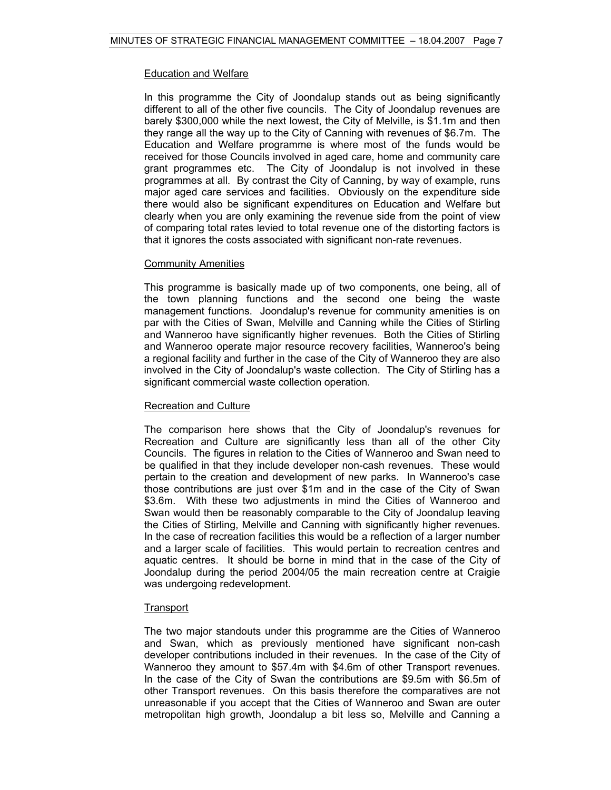#### Education and Welfare

In this programme the City of Joondalup stands out as being significantly different to all of the other five councils. The City of Joondalup revenues are barely \$300,000 while the next lowest, the City of Melville, is \$1.1m and then they range all the way up to the City of Canning with revenues of \$6.7m. The Education and Welfare programme is where most of the funds would be received for those Councils involved in aged care, home and community care grant programmes etc. The City of Joondalup is not involved in these programmes at all. By contrast the City of Canning, by way of example, runs major aged care services and facilities. Obviously on the expenditure side there would also be significant expenditures on Education and Welfare but clearly when you are only examining the revenue side from the point of view of comparing total rates levied to total revenue one of the distorting factors is that it ignores the costs associated with significant non-rate revenues.

#### **Community Amenities**

This programme is basically made up of two components, one being, all of the town planning functions and the second one being the waste management functions. Joondalup's revenue for community amenities is on par with the Cities of Swan, Melville and Canning while the Cities of Stirling and Wanneroo have significantly higher revenues. Both the Cities of Stirling and Wanneroo operate major resource recovery facilities, Wanneroo's being a regional facility and further in the case of the City of Wanneroo they are also involved in the City of Joondalup's waste collection. The City of Stirling has a significant commercial waste collection operation.

#### Recreation and Culture

The comparison here shows that the City of Joondalup's revenues for Recreation and Culture are significantly less than all of the other City Councils. The figures in relation to the Cities of Wanneroo and Swan need to be qualified in that they include developer non-cash revenues. These would pertain to the creation and development of new parks. In Wanneroo's case those contributions are just over \$1m and in the case of the City of Swan \$3.6m. With these two adjustments in mind the Cities of Wanneroo and Swan would then be reasonably comparable to the City of Joondalup leaving the Cities of Stirling, Melville and Canning with significantly higher revenues. In the case of recreation facilities this would be a reflection of a larger number and a larger scale of facilities. This would pertain to recreation centres and aquatic centres. It should be borne in mind that in the case of the City of Joondalup during the period 2004/05 the main recreation centre at Craigie was undergoing redevelopment.

#### **Transport**

The two major standouts under this programme are the Cities of Wanneroo and Swan, which as previously mentioned have significant non-cash developer contributions included in their revenues. In the case of the City of Wanneroo they amount to \$57.4m with \$4.6m of other Transport revenues. In the case of the City of Swan the contributions are \$9.5m with \$6.5m of other Transport revenues. On this basis therefore the comparatives are not unreasonable if you accept that the Cities of Wanneroo and Swan are outer metropolitan high growth, Joondalup a bit less so, Melville and Canning a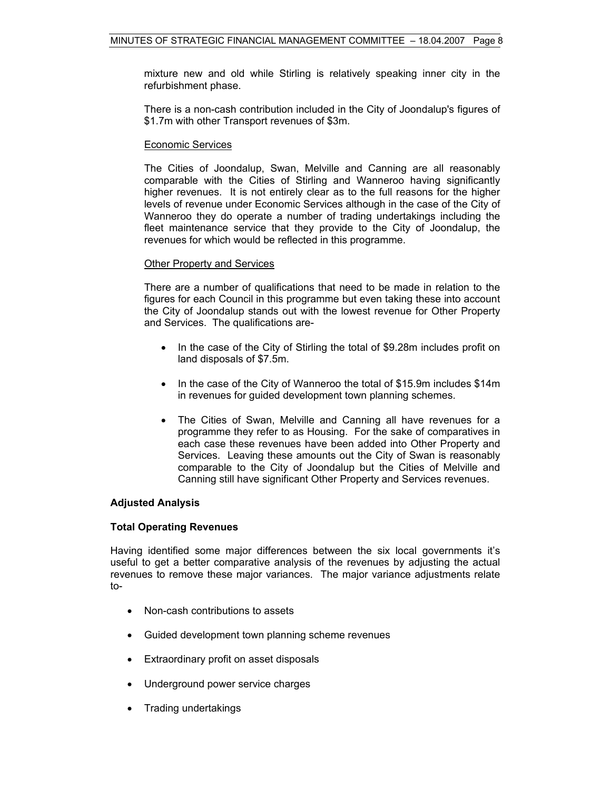mixture new and old while Stirling is relatively speaking inner city in the refurbishment phase.

There is a non-cash contribution included in the City of Joondalup's figures of \$1.7m with other Transport revenues of \$3m.

#### Economic Services

The Cities of Joondalup, Swan, Melville and Canning are all reasonably comparable with the Cities of Stirling and Wanneroo having significantly higher revenues. It is not entirely clear as to the full reasons for the higher levels of revenue under Economic Services although in the case of the City of Wanneroo they do operate a number of trading undertakings including the fleet maintenance service that they provide to the City of Joondalup, the revenues for which would be reflected in this programme.

#### Other Property and Services

There are a number of qualifications that need to be made in relation to the figures for each Council in this programme but even taking these into account the City of Joondalup stands out with the lowest revenue for Other Property and Services. The qualifications are-

- In the case of the City of Stirling the total of \$9.28m includes profit on land disposals of \$7.5m.
- In the case of the City of Wanneroo the total of \$15.9m includes \$14m in revenues for guided development town planning schemes.
- The Cities of Swan, Melville and Canning all have revenues for a programme they refer to as Housing. For the sake of comparatives in each case these revenues have been added into Other Property and Services. Leaving these amounts out the City of Swan is reasonably comparable to the City of Joondalup but the Cities of Melville and Canning still have significant Other Property and Services revenues.

#### **Adjusted Analysis**

#### **Total Operating Revenues**

Having identified some major differences between the six local governments it's useful to get a better comparative analysis of the revenues by adjusting the actual revenues to remove these major variances. The major variance adjustments relate to-

- Non-cash contributions to assets
- Guided development town planning scheme revenues
- Extraordinary profit on asset disposals
- Underground power service charges
- Trading undertakings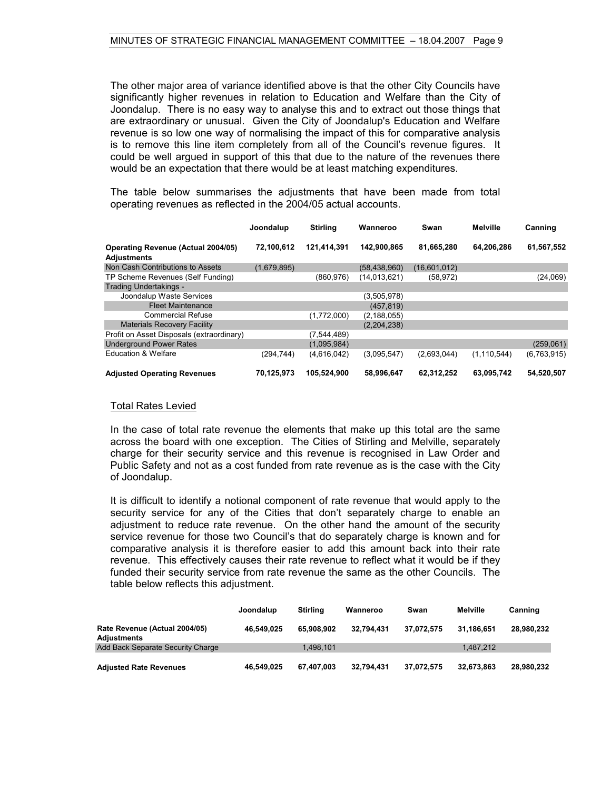The other major area of variance identified above is that the other City Councils have significantly higher revenues in relation to Education and Welfare than the City of Joondalup. There is no easy way to analyse this and to extract out those things that are extraordinary or unusual. Given the City of Joondalup's Education and Welfare revenue is so low one way of normalising the impact of this for comparative analysis is to remove this line item completely from all of the Council's revenue figures. It could be well argued in support of this that due to the nature of the revenues there would be an expectation that there would be at least matching expenditures.

The table below summarises the adjustments that have been made from total operating revenues as reflected in the 2004/05 actual accounts.

|                                                                 | Joondalup   | <b>Stirling</b> | Wanneroo       | Swan         | <b>Melville</b> | Canning     |
|-----------------------------------------------------------------|-------------|-----------------|----------------|--------------|-----------------|-------------|
| <b>Operating Revenue (Actual 2004/05)</b><br><b>Adjustments</b> | 72,100,612  | 121.414.391     | 142.900.865    | 81,665,280   | 64,206,286      | 61,567,552  |
| Non Cash Contributions to Assets                                | (1,679,895) |                 | (58, 438, 960) | (16,601,012) |                 |             |
| TP Scheme Revenues (Self Funding)                               |             | (860, 976)      | (14.013.621)   | (58, 972)    |                 | (24,069)    |
| Trading Undertakings -                                          |             |                 |                |              |                 |             |
| Joondalup Waste Services                                        |             |                 | (3,505,978)    |              |                 |             |
| <b>Fleet Maintenance</b>                                        |             |                 | (457, 819)     |              |                 |             |
| <b>Commercial Refuse</b>                                        |             | (1,772,000)     | (2, 188, 055)  |              |                 |             |
| <b>Materials Recovery Facility</b>                              |             |                 | (2,204,238)    |              |                 |             |
| Profit on Asset Disposals (extraordinary)                       |             | (7,544,489)     |                |              |                 |             |
| <b>Underground Power Rates</b>                                  |             | (1,095,984)     |                |              |                 | (259,061)   |
| <b>Education &amp; Welfare</b>                                  | (294, 744)  | (4,616,042)     | (3.095.547)    | (2,693,044)  | (1, 110, 544)   | (6,763,915) |
| <b>Adjusted Operating Revenues</b>                              | 70,125,973  | 105,524,900     | 58,996,647     | 62,312,252   | 63,095,742      | 54,520,507  |

#### Total Rates Levied

In the case of total rate revenue the elements that make up this total are the same across the board with one exception. The Cities of Stirling and Melville, separately charge for their security service and this revenue is recognised in Law Order and Public Safety and not as a cost funded from rate revenue as is the case with the City of Joondalup.

It is difficult to identify a notional component of rate revenue that would apply to the security service for any of the Cities that don't separately charge to enable an adjustment to reduce rate revenue. On the other hand the amount of the security service revenue for those two Council's that do separately charge is known and for comparative analysis it is therefore easier to add this amount back into their rate revenue. This effectively causes their rate revenue to reflect what it would be if they funded their security service from rate revenue the same as the other Councils. The table below reflects this adjustment.

|                                              | Joondalup  | <b>Stirling</b> | Wanneroo   | Swan       | Melville   | Canning    |
|----------------------------------------------|------------|-----------------|------------|------------|------------|------------|
| Rate Revenue (Actual 2004/05)<br>Adjustments | 46.549.025 | 65.908.902      | 32.794.431 | 37,072,575 | 31.186.651 | 28,980,232 |
| Add Back Separate Security Charge            |            | 1.498.101       |            |            | 1.487.212  |            |
| <b>Adjusted Rate Revenues</b>                | 46.549.025 | 67.407.003      | 32.794.431 | 37,072,575 | 32,673,863 | 28,980,232 |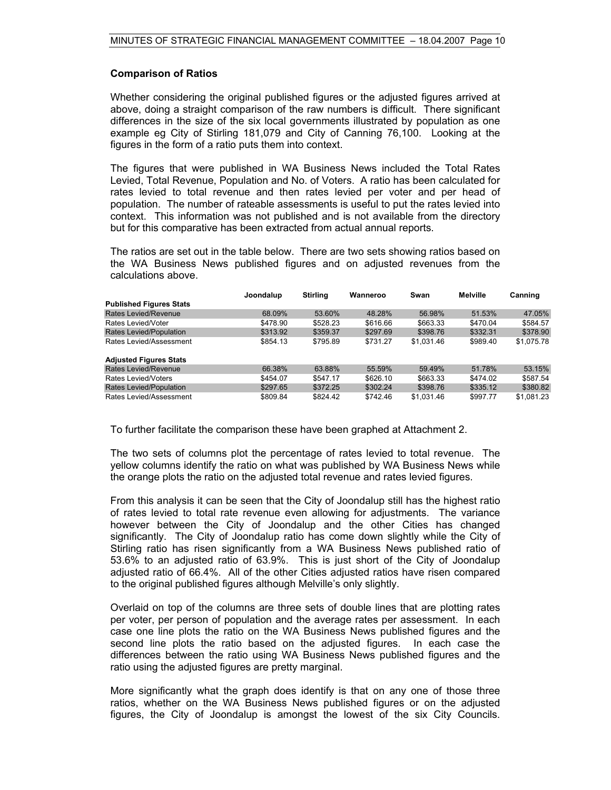#### **Comparison of Ratios**

Whether considering the original published figures or the adjusted figures arrived at above, doing a straight comparison of the raw numbers is difficult. There significant differences in the size of the six local governments illustrated by population as one example eg City of Stirling 181,079 and City of Canning 76,100. Looking at the figures in the form of a ratio puts them into context.

The figures that were published in WA Business News included the Total Rates Levied, Total Revenue, Population and No. of Voters. A ratio has been calculated for rates levied to total revenue and then rates levied per voter and per head of population. The number of rateable assessments is useful to put the rates levied into context. This information was not published and is not available from the directory but for this comparative has been extracted from actual annual reports.

The ratios are set out in the table below. There are two sets showing ratios based on the WA Business News published figures and on adjusted revenues from the calculations above.

|                                | Joondalup | <b>Stirling</b> | Wanneroo | Swan       | Melville | Canning    |
|--------------------------------|-----------|-----------------|----------|------------|----------|------------|
| <b>Published Figures Stats</b> |           |                 |          |            |          |            |
| Rates Levied/Revenue           | 68.09%    | 53.60%          | 48.28%   | 56.98%     | 51.53%   | 47.05%     |
| Rates Levied/Voter             | \$478.90  | \$528.23        | \$616.66 | \$663.33   | \$470.04 | \$584.57   |
| Rates Levied/Population        | \$313.92  | \$359.37        | \$297.69 | \$398.76   | \$332.31 | \$378.90   |
| Rates Levied/Assessment        | \$854.13  | \$795.89        | \$731.27 | \$1.031.46 | \$989.40 | \$1.075.78 |
| <b>Adjusted Figures Stats</b>  |           |                 |          |            |          |            |
| Rates Levied/Revenue           | 66.38%    | 63.88%          | 55.59%   | 59.49%     | 51.78%   | 53.15%     |
| Rates Levied/Voters            | \$454.07  | \$547.17        | \$626.10 | \$663.33   | \$474.02 | \$587.54   |
| Rates Levied/Population        | \$297.65  | \$372.25        | \$302.24 | \$398.76   | \$335.12 | \$380.82   |
| Rates Levied/Assessment        | \$809.84  | \$824.42        | \$742.46 | \$1.031.46 | \$997.77 | \$1.081.23 |

To further facilitate the comparison these have been graphed at Attachment 2.

The two sets of columns plot the percentage of rates levied to total revenue. The yellow columns identify the ratio on what was published by WA Business News while the orange plots the ratio on the adjusted total revenue and rates levied figures.

From this analysis it can be seen that the City of Joondalup still has the highest ratio of rates levied to total rate revenue even allowing for adjustments. The variance however between the City of Joondalup and the other Cities has changed significantly. The City of Joondalup ratio has come down slightly while the City of Stirling ratio has risen significantly from a WA Business News published ratio of 53.6% to an adjusted ratio of 63.9%. This is just short of the City of Joondalup adjusted ratio of 66.4%. All of the other Cities adjusted ratios have risen compared to the original published figures although Melville's only slightly.

Overlaid on top of the columns are three sets of double lines that are plotting rates per voter, per person of population and the average rates per assessment. In each case one line plots the ratio on the WA Business News published figures and the second line plots the ratio based on the adjusted figures. In each case the differences between the ratio using WA Business News published figures and the ratio using the adjusted figures are pretty marginal.

More significantly what the graph does identify is that on any one of those three ratios, whether on the WA Business News published figures or on the adjusted figures, the City of Joondalup is amongst the lowest of the six City Councils.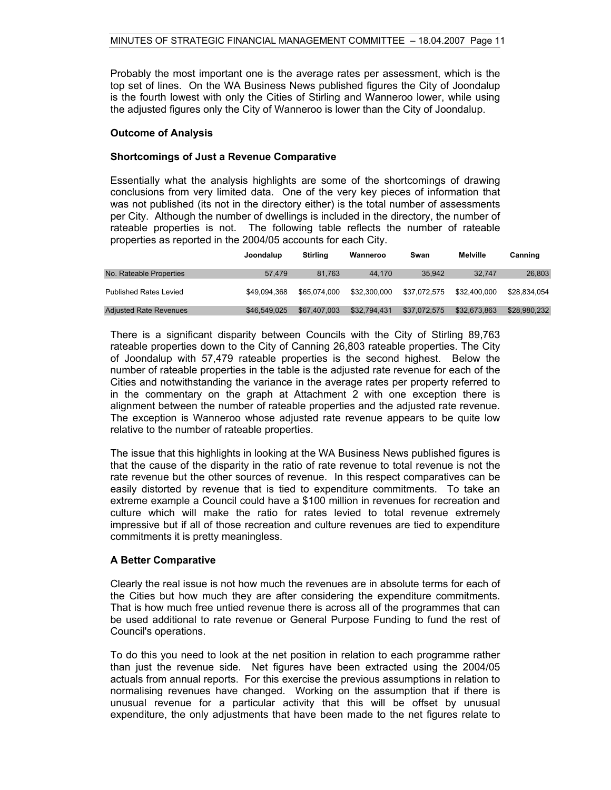Probably the most important one is the average rates per assessment, which is the top set of lines. On the WA Business News published figures the City of Joondalup is the fourth lowest with only the Cities of Stirling and Wanneroo lower, while using the adjusted figures only the City of Wanneroo is lower than the City of Joondalup.

#### **Outcome of Analysis**

#### **Shortcomings of Just a Revenue Comparative**

Essentially what the analysis highlights are some of the shortcomings of drawing conclusions from very limited data. One of the very key pieces of information that was not published (its not in the directory either) is the total number of assessments per City. Although the number of dwellings is included in the directory, the number of rateable properties is not. The following table reflects the number of rateable properties as reported in the 2004/05 accounts for each City.

|                               | Joondalup    | Stirling     | Wanneroo     | Swan         | Melville     | Canning      |
|-------------------------------|--------------|--------------|--------------|--------------|--------------|--------------|
| No. Rateable Properties       | 57.479       | 81.763       | 44.170       | 35.942       | 32.747       | 26,803       |
| <b>Published Rates Levied</b> | \$49.094.368 | \$65,074,000 | \$32.300.000 | \$37.072.575 | \$32,400,000 | \$28.834.054 |
| <b>Adjusted Rate Revenues</b> | \$46,549,025 | \$67,407,003 | \$32,794,431 | \$37,072,575 | \$32,673,863 | \$28,980,232 |

There is a significant disparity between Councils with the City of Stirling 89,763 rateable properties down to the City of Canning 26,803 rateable properties. The City of Joondalup with 57,479 rateable properties is the second highest. Below the number of rateable properties in the table is the adjusted rate revenue for each of the Cities and notwithstanding the variance in the average rates per property referred to in the commentary on the graph at Attachment 2 with one exception there is alignment between the number of rateable properties and the adjusted rate revenue. The exception is Wanneroo whose adjusted rate revenue appears to be quite low relative to the number of rateable properties.

The issue that this highlights in looking at the WA Business News published figures is that the cause of the disparity in the ratio of rate revenue to total revenue is not the rate revenue but the other sources of revenue. In this respect comparatives can be easily distorted by revenue that is tied to expenditure commitments. To take an extreme example a Council could have a \$100 million in revenues for recreation and culture which will make the ratio for rates levied to total revenue extremely impressive but if all of those recreation and culture revenues are tied to expenditure commitments it is pretty meaningless.

#### **A Better Comparative**

Clearly the real issue is not how much the revenues are in absolute terms for each of the Cities but how much they are after considering the expenditure commitments. That is how much free untied revenue there is across all of the programmes that can be used additional to rate revenue or General Purpose Funding to fund the rest of Council's operations.

To do this you need to look at the net position in relation to each programme rather than just the revenue side. Net figures have been extracted using the 2004/05 actuals from annual reports. For this exercise the previous assumptions in relation to normalising revenues have changed. Working on the assumption that if there is unusual revenue for a particular activity that this will be offset by unusual expenditure, the only adjustments that have been made to the net figures relate to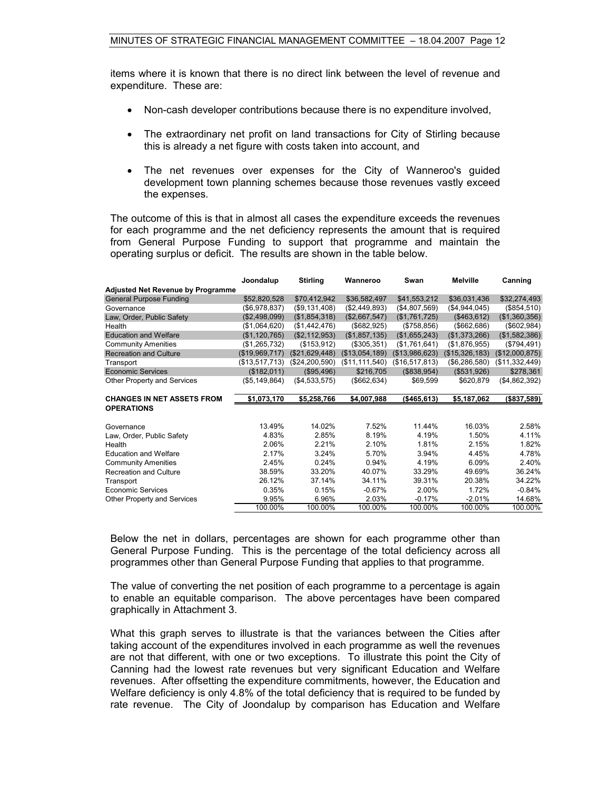items where it is known that there is no direct link between the level of revenue and expenditure. These are:

- Non-cash developer contributions because there is no expenditure involved,
- The extraordinary net profit on land transactions for City of Stirling because this is already a net figure with costs taken into account, and
- The net revenues over expenses for the City of Wanneroo's guided development town planning schemes because those revenues vastly exceed the expenses.

The outcome of this is that in almost all cases the expenditure exceeds the revenues for each programme and the net deficiency represents the amount that is required from General Purpose Funding to support that programme and maintain the operating surplus or deficit. The results are shown in the table below.

|                                          | Joondalup      | <b>Stirling</b> | Wanneroo       | Swan           | Melville       | Canning        |
|------------------------------------------|----------------|-----------------|----------------|----------------|----------------|----------------|
| <b>Adjusted Net Revenue by Programme</b> |                |                 |                |                |                |                |
| <b>General Purpose Funding</b>           | \$52,820,528   | \$70,412,942    | \$36,582,497   | \$41,553,212   | \$36,031,436   | \$32,274,493   |
| Governance                               | (\$6,978,837)  | (\$9,131,408)   | (\$2,449,893)  | (\$4,807,569)  | (\$4,944,045)  | (\$854,510)    |
| Law, Order, Public Safety                | (\$2,498,099)  | (\$1,854,318)   | (\$2,667,547)  | (\$1,761,725)  | (\$463,612)    | (\$1,360,356)  |
| Health                                   | (\$1,064,620)  | (\$1,442,476)   | (\$682,925)    | (\$758, 856)   | ( \$662, 686)  | (\$602,984)    |
| <b>Education and Welfare</b>             | (\$1,120,765)  | (\$2,112,953)   | (\$1,857,135)  | (\$1,655,243)  | (\$1,373,266)  | (\$1,582,386)  |
| <b>Community Amenities</b>               | (\$1,265,732)  | (\$153,912)     | (\$305,351)    | (\$1,761,641)  | (\$1,876,955)  | (\$794,491)    |
| <b>Recreation and Culture</b>            | (\$19,969,717) | (\$21,629,448)  | (\$13,054,189) | (\$13,986,623) | (\$15,326,183) | (\$12,000,875) |
| Transport                                | (\$13,517,713) | (\$24,200,590)  | (\$11,111,540) | (\$16,517,813) | (\$6,286,580)  | (\$11,332,449) |
| <b>Economic Services</b>                 | (\$182,011)    | (\$95,496)      | \$216,705      | (\$838,954)    | (\$531,926)    | \$278,361      |
| <b>Other Property and Services</b>       | (\$5,149,864)  | (\$4,533,575)   | ( \$662, 634)  | \$69,599       | \$620,879      | (\$4,862,392)  |
|                                          |                |                 |                |                |                |                |
|                                          |                |                 |                |                |                |                |
| <b>CHANGES IN NET ASSETS FROM</b>        | \$1,073,170    | \$5,258,766     | \$4,007,988    | (\$465, 613)   | \$5,187,062    | (\$837,589)    |
| <b>OPERATIONS</b>                        |                |                 |                |                |                |                |
|                                          |                |                 |                |                |                |                |
| Governance                               | 13.49%         | 14.02%          | 7.52%          | 11.44%         | 16.03%         | 2.58%          |
| Law, Order, Public Safety                | 4.83%          | 2.85%           | 8.19%          | 4.19%          | 1.50%          | 4.11%          |
| Health                                   | 2.06%          | 2.21%           | 2.10%          | 1.81%          | 2.15%          | 1.82%          |
| <b>Education and Welfare</b>             | 2.17%          | 3.24%           | 5.70%          | 3.94%          | 4.45%          | 4.78%          |
| <b>Community Amenities</b>               | 2.45%          | 0.24%           | 0.94%          | 4.19%          | 6.09%          | 2.40%          |
| <b>Recreation and Culture</b>            | 38.59%         | 33.20%          | 40.07%         | 33.29%         | 49.69%         | 36.24%         |
| Transport                                | 26.12%         | 37.14%          | 34.11%         | 39.31%         | 20.38%         | 34.22%         |
| <b>Economic Services</b>                 | 0.35%          | 0.15%           | $-0.67%$       | 2.00%          | 1.72%          | $-0.84%$       |
| Other Property and Services              | 9.95%          | 6.96%           | 2.03%          | $-0.17%$       | $-2.01%$       | 14.68%         |

Below the net in dollars, percentages are shown for each programme other than General Purpose Funding. This is the percentage of the total deficiency across all programmes other than General Purpose Funding that applies to that programme.

The value of converting the net position of each programme to a percentage is again to enable an equitable comparison. The above percentages have been compared graphically in Attachment 3.

What this graph serves to illustrate is that the variances between the Cities after taking account of the expenditures involved in each programme as well the revenues are not that different, with one or two exceptions. To illustrate this point the City of Canning had the lowest rate revenues but very significant Education and Welfare revenues. After offsetting the expenditure commitments, however, the Education and Welfare deficiency is only 4.8% of the total deficiency that is required to be funded by rate revenue. The City of Joondalup by comparison has Education and Welfare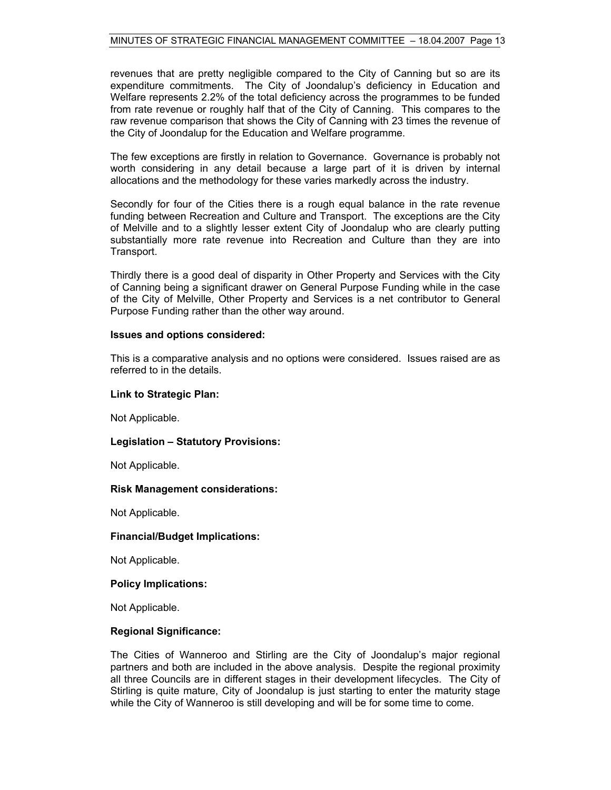revenues that are pretty negligible compared to the City of Canning but so are its expenditure commitments. The City of Joondalup's deficiency in Education and Welfare represents 2.2% of the total deficiency across the programmes to be funded from rate revenue or roughly half that of the City of Canning. This compares to the raw revenue comparison that shows the City of Canning with 23 times the revenue of the City of Joondalup for the Education and Welfare programme.

The few exceptions are firstly in relation to Governance. Governance is probably not worth considering in any detail because a large part of it is driven by internal allocations and the methodology for these varies markedly across the industry.

Secondly for four of the Cities there is a rough equal balance in the rate revenue funding between Recreation and Culture and Transport. The exceptions are the City of Melville and to a slightly lesser extent City of Joondalup who are clearly putting substantially more rate revenue into Recreation and Culture than they are into Transport.

Thirdly there is a good deal of disparity in Other Property and Services with the City of Canning being a significant drawer on General Purpose Funding while in the case of the City of Melville, Other Property and Services is a net contributor to General Purpose Funding rather than the other way around.

#### **Issues and options considered:**

This is a comparative analysis and no options were considered. Issues raised are as referred to in the details.

#### **Link to Strategic Plan:**

Not Applicable.

#### **Legislation – Statutory Provisions:**

Not Applicable.

#### **Risk Management considerations:**

Not Applicable.

#### **Financial/Budget Implications:**

Not Applicable.

#### **Policy Implications:**

Not Applicable.

#### **Regional Significance:**

The Cities of Wanneroo and Stirling are the City of Joondalup's major regional partners and both are included in the above analysis. Despite the regional proximity all three Councils are in different stages in their development lifecycles. The City of Stirling is quite mature, City of Joondalup is just starting to enter the maturity stage while the City of Wanneroo is still developing and will be for some time to come.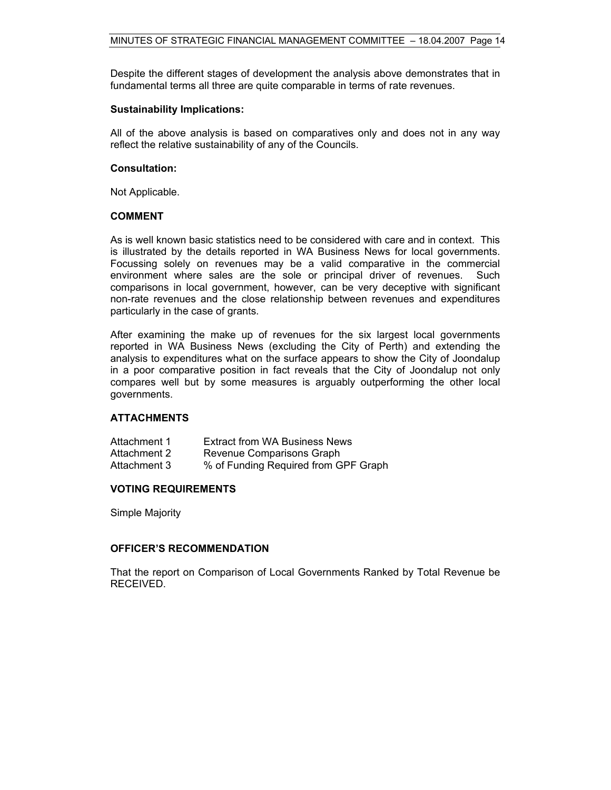Despite the different stages of development the analysis above demonstrates that in fundamental terms all three are quite comparable in terms of rate revenues.

#### **Sustainability Implications:**

All of the above analysis is based on comparatives only and does not in any way reflect the relative sustainability of any of the Councils.

#### **Consultation:**

Not Applicable.

#### **COMMENT**

As is well known basic statistics need to be considered with care and in context. This is illustrated by the details reported in WA Business News for local governments. Focussing solely on revenues may be a valid comparative in the commercial environment where sales are the sole or principal driver of revenues. Such comparisons in local government, however, can be very deceptive with significant non-rate revenues and the close relationship between revenues and expenditures particularly in the case of grants.

After examining the make up of revenues for the six largest local governments reported in WA Business News (excluding the City of Perth) and extending the analysis to expenditures what on the surface appears to show the City of Joondalup in a poor comparative position in fact reveals that the City of Joondalup not only compares well but by some measures is arguably outperforming the other local governments.

#### **ATTACHMENTS**

| Attachment 1 | <b>Extract from WA Business News</b> |
|--------------|--------------------------------------|
| Attachment 2 | Revenue Comparisons Graph            |
| Attachment 3 | % of Funding Required from GPF Graph |

#### **VOTING REQUIREMENTS**

Simple Majority

#### **OFFICER'S RECOMMENDATION**

That the report on Comparison of Local Governments Ranked by Total Revenue be RECEIVED.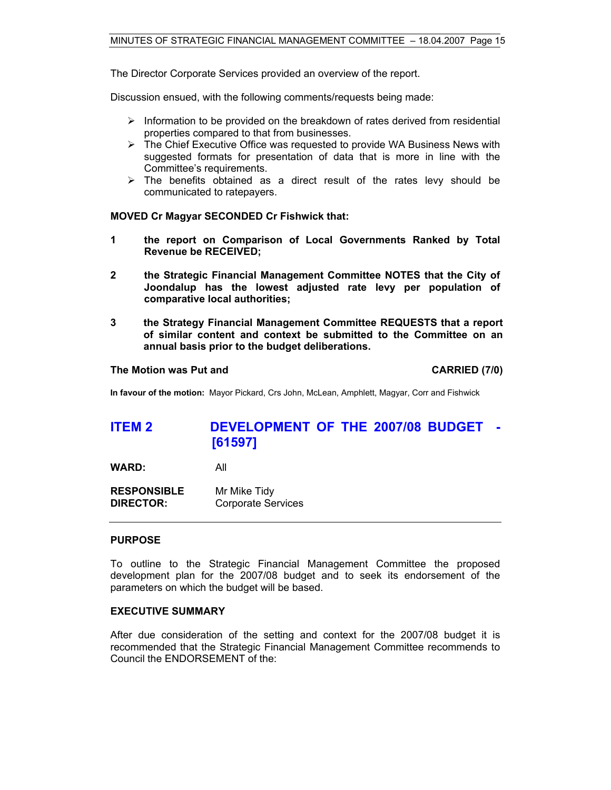The Director Corporate Services provided an overview of the report.

Discussion ensued, with the following comments/requests being made:

- $\triangleright$  Information to be provided on the breakdown of rates derived from residential properties compared to that from businesses.
- $\triangleright$  The Chief Executive Office was requested to provide WA Business News with suggested formats for presentation of data that is more in line with the Committee's requirements.
- $\triangleright$  The benefits obtained as a direct result of the rates levy should be communicated to ratepayers.

#### **MOVED Cr Magyar SECONDED Cr Fishwick that:**

- **1 the report on Comparison of Local Governments Ranked by Total Revenue be RECEIVED;**
- **2 the Strategic Financial Management Committee NOTES that the City of Joondalup has the lowest adjusted rate levy per population of comparative local authorities;**
- **3 the Strategy Financial Management Committee REQUESTS that a report of similar content and context be submitted to the Committee on an annual basis prior to the budget deliberations.**

#### **The Motion was Put and CARRIED (7/0) CARRIED (7/0)**

**In favour of the motion:** Mayor Pickard, Crs John, McLean, Amphlett, Magyar, Corr and Fishwick

## **ITEM 2 DEVELOPMENT OF THE 2007/08 BUDGET - [61597]**

**WARD:** All

**RESPONSIBLE** Mr Mike Tidy **DIRECTOR:** Corporate Services

#### **PURPOSE**

To outline to the Strategic Financial Management Committee the proposed development plan for the 2007/08 budget and to seek its endorsement of the parameters on which the budget will be based.

#### **EXECUTIVE SUMMARY**

After due consideration of the setting and context for the 2007/08 budget it is recommended that the Strategic Financial Management Committee recommends to Council the ENDORSEMENT of the: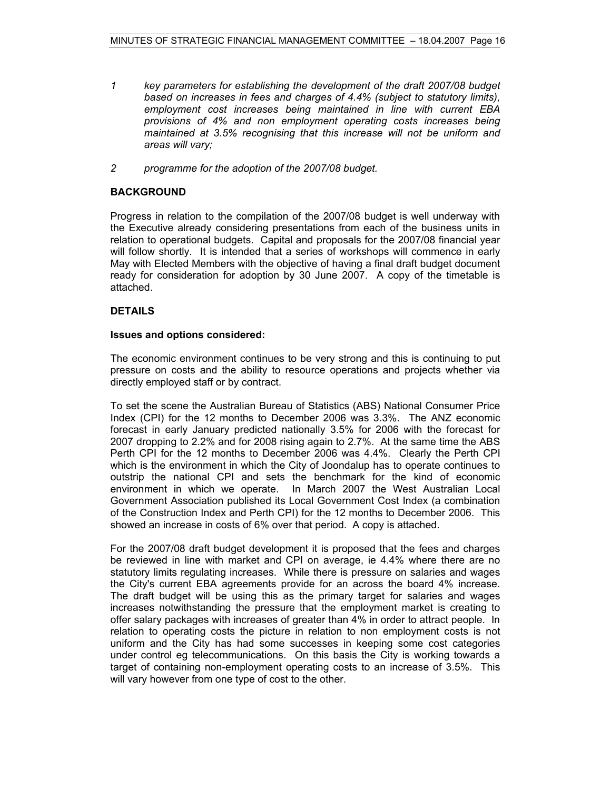- *1 key parameters for establishing the development of the draft 2007/08 budget based on increases in fees and charges of 4.4% (subject to statutory limits), employment cost increases being maintained in line with current EBA provisions of 4% and non employment operating costs increases being maintained at 3.5% recognising that this increase will not be uniform and areas will vary;*
- *2 programme for the adoption of the 2007/08 budget.*

### **BACKGROUND**

Progress in relation to the compilation of the 2007/08 budget is well underway with the Executive already considering presentations from each of the business units in relation to operational budgets. Capital and proposals for the 2007/08 financial year will follow shortly. It is intended that a series of workshops will commence in early May with Elected Members with the objective of having a final draft budget document ready for consideration for adoption by 30 June 2007. A copy of the timetable is attached.

#### **DETAILS**

#### **Issues and options considered:**

The economic environment continues to be very strong and this is continuing to put pressure on costs and the ability to resource operations and projects whether via directly employed staff or by contract.

To set the scene the Australian Bureau of Statistics (ABS) National Consumer Price Index (CPI) for the 12 months to December 2006 was 3.3%. The ANZ economic forecast in early January predicted nationally 3.5% for 2006 with the forecast for 2007 dropping to 2.2% and for 2008 rising again to 2.7%. At the same time the ABS Perth CPI for the 12 months to December 2006 was 4.4%. Clearly the Perth CPI which is the environment in which the City of Joondalup has to operate continues to outstrip the national CPI and sets the benchmark for the kind of economic environment in which we operate. In March 2007 the West Australian Local Government Association published its Local Government Cost Index (a combination of the Construction Index and Perth CPI) for the 12 months to December 2006. This showed an increase in costs of 6% over that period. A copy is attached.

For the 2007/08 draft budget development it is proposed that the fees and charges be reviewed in line with market and CPI on average, ie 4.4% where there are no statutory limits regulating increases. While there is pressure on salaries and wages the City's current EBA agreements provide for an across the board 4% increase. The draft budget will be using this as the primary target for salaries and wages increases notwithstanding the pressure that the employment market is creating to offer salary packages with increases of greater than 4% in order to attract people. In relation to operating costs the picture in relation to non employment costs is not uniform and the City has had some successes in keeping some cost categories under control eg telecommunications. On this basis the City is working towards a target of containing non-employment operating costs to an increase of 3.5%. This will vary however from one type of cost to the other.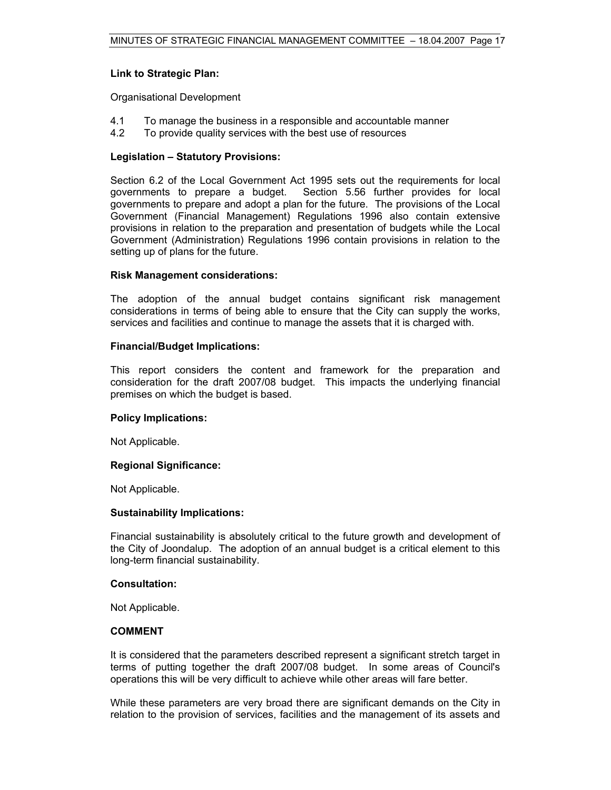#### **Link to Strategic Plan:**

Organisational Development

- 4.1 To manage the business in a responsible and accountable manner
- 4.2 To provide quality services with the best use of resources

#### **Legislation – Statutory Provisions:**

Section 6.2 of the Local Government Act 1995 sets out the requirements for local governments to prepare a budget. Section 5.56 further provides for local governments to prepare and adopt a plan for the future. The provisions of the Local Government (Financial Management) Regulations 1996 also contain extensive provisions in relation to the preparation and presentation of budgets while the Local Government (Administration) Regulations 1996 contain provisions in relation to the setting up of plans for the future.

#### **Risk Management considerations:**

The adoption of the annual budget contains significant risk management considerations in terms of being able to ensure that the City can supply the works, services and facilities and continue to manage the assets that it is charged with.

#### **Financial/Budget Implications:**

This report considers the content and framework for the preparation and consideration for the draft 2007/08 budget. This impacts the underlying financial premises on which the budget is based.

#### **Policy Implications:**

Not Applicable.

#### **Regional Significance:**

Not Applicable.

#### **Sustainability Implications:**

Financial sustainability is absolutely critical to the future growth and development of the City of Joondalup. The adoption of an annual budget is a critical element to this long-term financial sustainability.

#### **Consultation:**

Not Applicable.

#### **COMMENT**

It is considered that the parameters described represent a significant stretch target in terms of putting together the draft 2007/08 budget. In some areas of Council's operations this will be very difficult to achieve while other areas will fare better.

While these parameters are very broad there are significant demands on the City in relation to the provision of services, facilities and the management of its assets and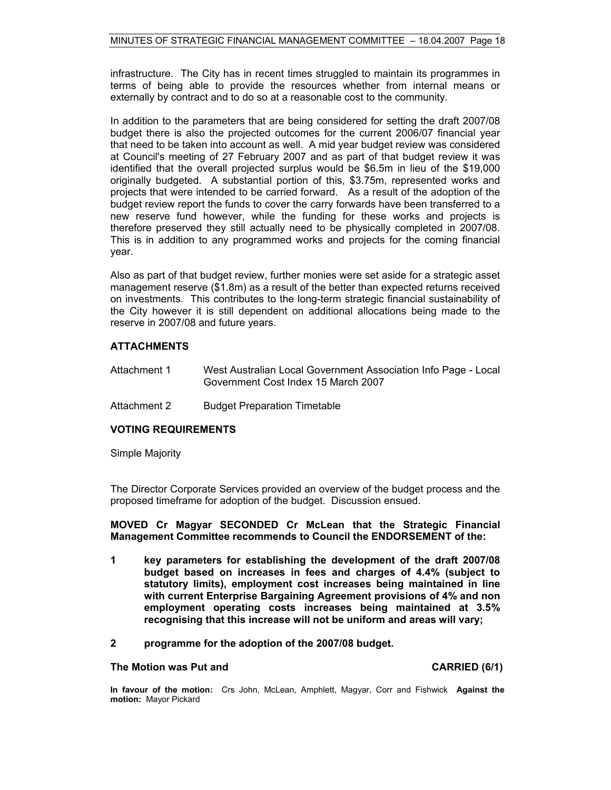infrastructure. The City has in recent times struggled to maintain its programmes in terms of being able to provide the resources whether from internal means or externally by contract and to do so at a reasonable cost to the community.

In addition to the parameters that are being considered for setting the draft 2007/08 budget there is also the projected outcomes for the current 2006/07 financial year that need to be taken into account as well. A mid year budget review was considered at Council's meeting of 27 February 2007 and as part of that budget review it was identified that the overall projected surplus would be \$6.5m in lieu of the \$19,000 originally budgeted. A substantial portion of this, \$3.75m, represented works and projects that were intended to be carried forward. As a result of the adoption of the budget review report the funds to cover the carry forwards have been transferred to a new reserve fund however, while the funding for these works and projects is therefore preserved they still actually need to be physically completed in 2007/08. This is in addition to any programmed works and projects for the coming financial year.

Also as part of that budget review, further monies were set aside for a strategic asset management reserve (\$1.8m) as a result of the better than expected returns received on investments. This contributes to the long-term strategic financial sustainability of the City however it is still dependent on additional allocations being made to the reserve in 2007/08 and future years.

#### **ATTACHMENTS**

- Attachment 1 West Australian Local Government Association Info Page Local Government Cost Index 15 March 2007
- Attachment 2 Budget Preparation Timetable

#### **VOTING REQUIREMENTS**

Simple Majority

The Director Corporate Services provided an overview of the budget process and the proposed timeframe for adoption of the budget. Discussion ensued.

**MOVED Cr Magyar SECONDED Cr McLean that the Strategic Financial Management Committee recommends to Council the ENDORSEMENT of the:** 

- **1 key parameters for establishing the development of the draft 2007/08 budget based on increases in fees and charges of 4.4% (subject to statutory limits), employment cost increases being maintained in line with current Enterprise Bargaining Agreement provisions of 4% and non employment operating costs increases being maintained at 3.5% recognising that this increase will not be uniform and areas will vary;**
- **2 programme for the adoption of the 2007/08 budget.**

#### The Motion was Put and **CARRIED** (6/1)

**In favour of the motion:** Crs John, McLean, Amphlett, Magyar, Corr and Fishwick **Against the motion:** Mayor Pickard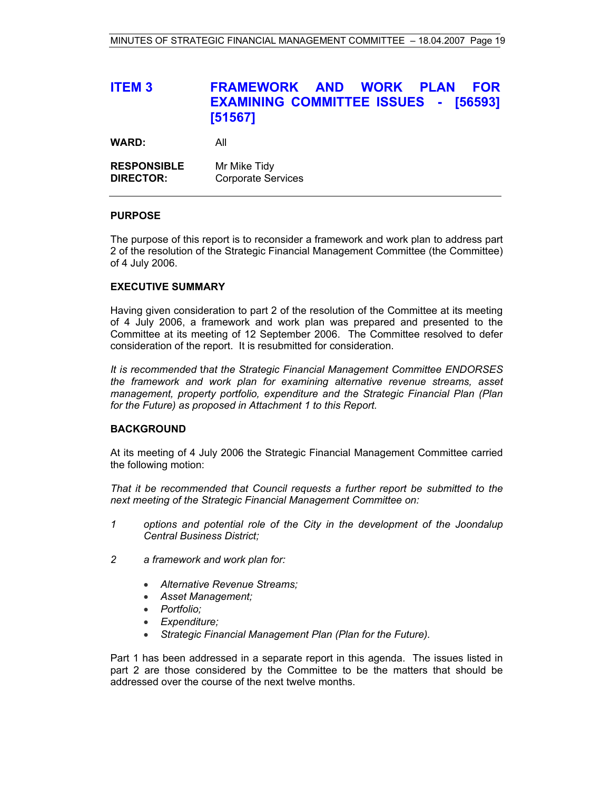# **ITEM 3 FRAMEWORK AND WORK PLAN FOR EXAMINING COMMITTEE ISSUES - [56593] [51567]**

**WARD:** All

| <b>RESPONSIBLE</b> | Mr Mike Tidy              |
|--------------------|---------------------------|
| <b>DIRECTOR:</b>   | <b>Corporate Services</b> |

#### **PURPOSE**

The purpose of this report is to reconsider a framework and work plan to address part 2 of the resolution of the Strategic Financial Management Committee (the Committee) of 4 July 2006.

#### **EXECUTIVE SUMMARY**

Having given consideration to part 2 of the resolution of the Committee at its meeting of 4 July 2006, a framework and work plan was prepared and presented to the Committee at its meeting of 12 September 2006. The Committee resolved to defer consideration of the report. It is resubmitted for consideration.

*It is recommended* t*hat the Strategic Financial Management Committee ENDORSES the framework and work plan for examining alternative revenue streams, asset management, property portfolio, expenditure and the Strategic Financial Plan (Plan for the Future) as proposed in Attachment 1 to this Report.*

#### **BACKGROUND**

At its meeting of 4 July 2006 the Strategic Financial Management Committee carried the following motion:

*That it be recommended that Council requests a further report be submitted to the next meeting of the Strategic Financial Management Committee on:* 

- *1 options and potential role of the City in the development of the Joondalup Central Business District;*
- *2 a framework and work plan for:* 
	- *Alternative Revenue Streams;*
	- *Asset Management;*
	- *Portfolio;*
	- *Expenditure;*
	- *Strategic Financial Management Plan (Plan for the Future).*

Part 1 has been addressed in a separate report in this agenda. The issues listed in part 2 are those considered by the Committee to be the matters that should be addressed over the course of the next twelve months.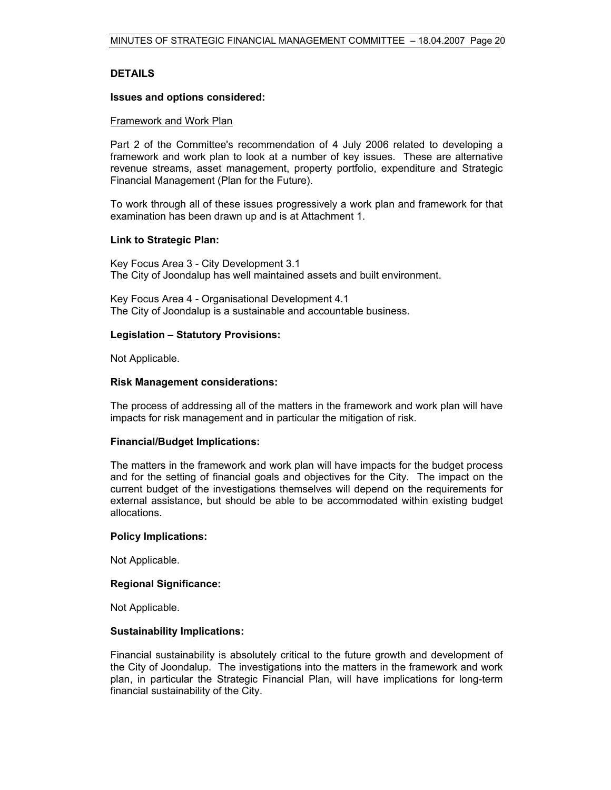#### **DETAILS**

#### **Issues and options considered:**

#### Framework and Work Plan

Part 2 of the Committee's recommendation of 4 July 2006 related to developing a framework and work plan to look at a number of key issues. These are alternative revenue streams, asset management, property portfolio, expenditure and Strategic Financial Management (Plan for the Future).

To work through all of these issues progressively a work plan and framework for that examination has been drawn up and is at Attachment 1.

#### **Link to Strategic Plan:**

Key Focus Area 3 - City Development 3.1 The City of Joondalup has well maintained assets and built environment.

Key Focus Area 4 - Organisational Development 4.1 The City of Joondalup is a sustainable and accountable business.

#### **Legislation – Statutory Provisions:**

Not Applicable.

#### **Risk Management considerations:**

The process of addressing all of the matters in the framework and work plan will have impacts for risk management and in particular the mitigation of risk.

#### **Financial/Budget Implications:**

The matters in the framework and work plan will have impacts for the budget process and for the setting of financial goals and objectives for the City. The impact on the current budget of the investigations themselves will depend on the requirements for external assistance, but should be able to be accommodated within existing budget allocations.

#### **Policy Implications:**

Not Applicable.

#### **Regional Significance:**

Not Applicable.

#### **Sustainability Implications:**

Financial sustainability is absolutely critical to the future growth and development of the City of Joondalup. The investigations into the matters in the framework and work plan, in particular the Strategic Financial Plan, will have implications for long-term financial sustainability of the City.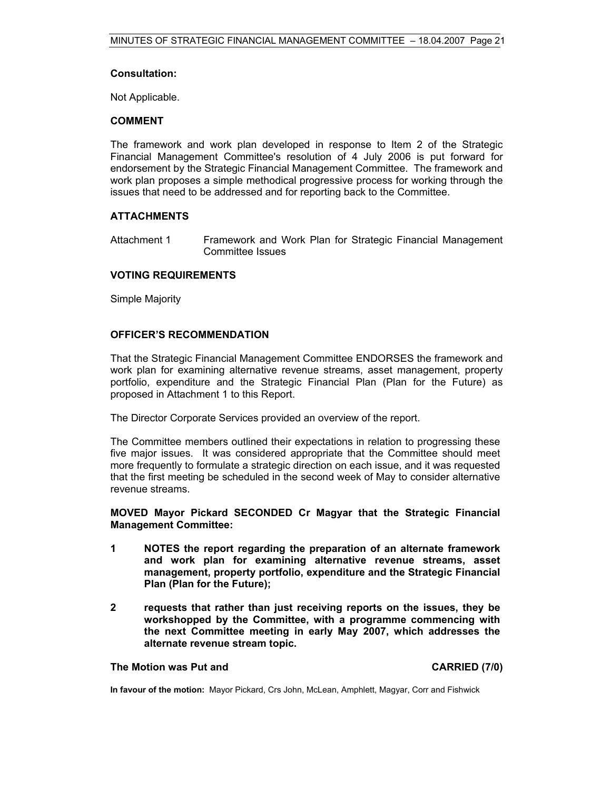#### **Consultation:**

Not Applicable.

#### **COMMENT**

The framework and work plan developed in response to Item 2 of the Strategic Financial Management Committee's resolution of 4 July 2006 is put forward for endorsement by the Strategic Financial Management Committee. The framework and work plan proposes a simple methodical progressive process for working through the issues that need to be addressed and for reporting back to the Committee.

#### **ATTACHMENTS**

Attachment 1 Framework and Work Plan for Strategic Financial Management Committee Issues

#### **VOTING REQUIREMENTS**

Simple Majority

#### **OFFICER'S RECOMMENDATION**

That the Strategic Financial Management Committee ENDORSES the framework and work plan for examining alternative revenue streams, asset management, property portfolio, expenditure and the Strategic Financial Plan (Plan for the Future) as proposed in Attachment 1 to this Report.

The Director Corporate Services provided an overview of the report.

The Committee members outlined their expectations in relation to progressing these five major issues. It was considered appropriate that the Committee should meet more frequently to formulate a strategic direction on each issue, and it was requested that the first meeting be scheduled in the second week of May to consider alternative revenue streams.

**MOVED Mayor Pickard SECONDED Cr Magyar that the Strategic Financial Management Committee:** 

- **1 NOTES the report regarding the preparation of an alternate framework and work plan for examining alternative revenue streams, asset management, property portfolio, expenditure and the Strategic Financial Plan (Plan for the Future);**
- **2 requests that rather than just receiving reports on the issues, they be workshopped by the Committee, with a programme commencing with the next Committee meeting in early May 2007, which addresses the alternate revenue stream topic.**

**The Motion was Put and CARRIED (7/0) CARRIED** (7/0)

**In favour of the motion:** Mayor Pickard, Crs John, McLean, Amphlett, Magyar, Corr and Fishwick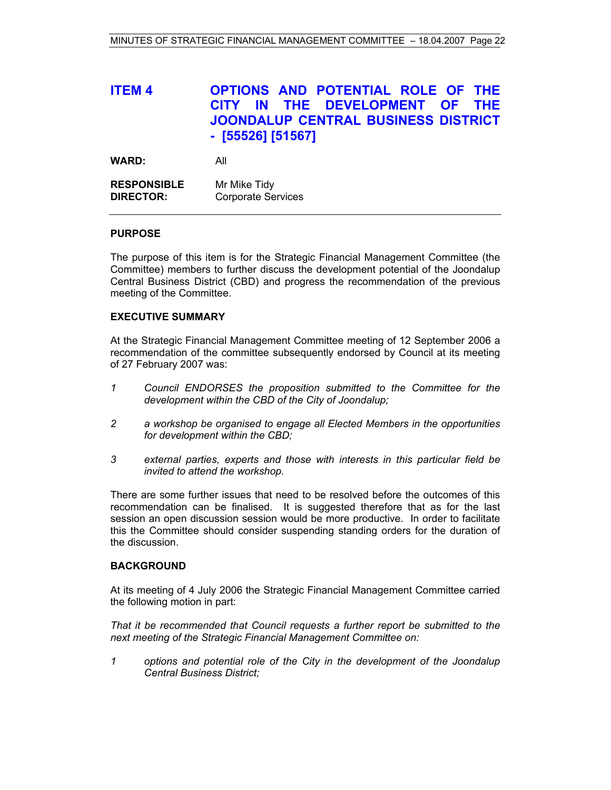# **ITEM 4 OPTIONS AND POTENTIAL ROLE OF THE CITY IN THE DEVELOPMENT OF THE JOONDALUP CENTRAL BUSINESS DISTRICT - [55526] [51567]**

| <b>WARD:</b>       | All                       |
|--------------------|---------------------------|
| <b>RESPONSIBLE</b> | Mr Mike Tidy              |
| <b>DIRECTOR:</b>   | <b>Corporate Services</b> |

#### **PURPOSE**

The purpose of this item is for the Strategic Financial Management Committee (the Committee) members to further discuss the development potential of the Joondalup Central Business District (CBD) and progress the recommendation of the previous meeting of the Committee.

#### **EXECUTIVE SUMMARY**

At the Strategic Financial Management Committee meeting of 12 September 2006 a recommendation of the committee subsequently endorsed by Council at its meeting of 27 February 2007 was:

- *1 Council ENDORSES the proposition submitted to the Committee for the development within the CBD of the City of Joondalup;*
- *2 a workshop be organised to engage all Elected Members in the opportunities for development within the CBD;*
- *3 external parties, experts and those with interests in this particular field be invited to attend the workshop.*

There are some further issues that need to be resolved before the outcomes of this recommendation can be finalised. It is suggested therefore that as for the last session an open discussion session would be more productive. In order to facilitate this the Committee should consider suspending standing orders for the duration of the discussion.

#### **BACKGROUND**

At its meeting of 4 July 2006 the Strategic Financial Management Committee carried the following motion in part:

*That it be recommended that Council requests a further report be submitted to the next meeting of the Strategic Financial Management Committee on:* 

*1 options and potential role of the City in the development of the Joondalup Central Business District;*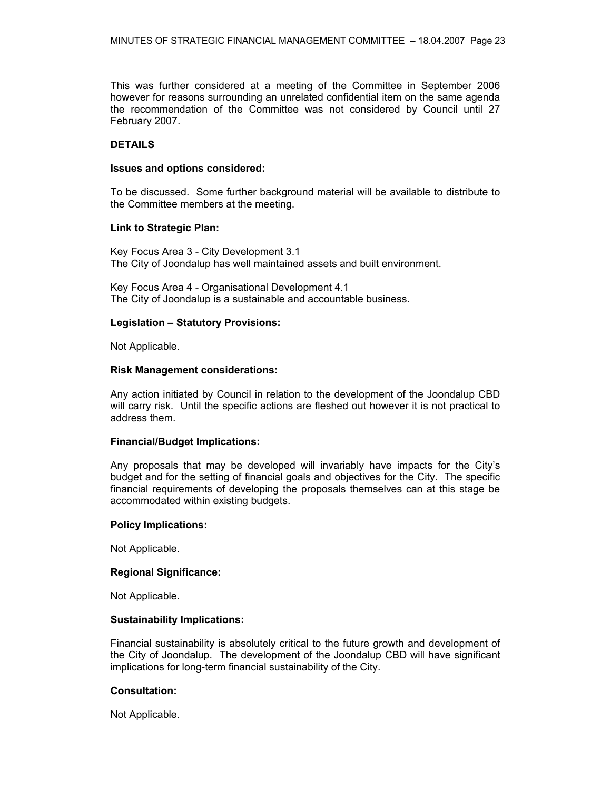This was further considered at a meeting of the Committee in September 2006 however for reasons surrounding an unrelated confidential item on the same agenda the recommendation of the Committee was not considered by Council until 27 February 2007.

#### **DETAILS**

#### **Issues and options considered:**

To be discussed. Some further background material will be available to distribute to the Committee members at the meeting.

#### **Link to Strategic Plan:**

Key Focus Area 3 - City Development 3.1 The City of Joondalup has well maintained assets and built environment.

Key Focus Area 4 - Organisational Development 4.1 The City of Joondalup is a sustainable and accountable business.

#### **Legislation – Statutory Provisions:**

Not Applicable.

#### **Risk Management considerations:**

Any action initiated by Council in relation to the development of the Joondalup CBD will carry risk. Until the specific actions are fleshed out however it is not practical to address them.

#### **Financial/Budget Implications:**

Any proposals that may be developed will invariably have impacts for the City's budget and for the setting of financial goals and objectives for the City. The specific financial requirements of developing the proposals themselves can at this stage be accommodated within existing budgets.

#### **Policy Implications:**

Not Applicable.

#### **Regional Significance:**

Not Applicable.

#### **Sustainability Implications:**

Financial sustainability is absolutely critical to the future growth and development of the City of Joondalup. The development of the Joondalup CBD will have significant implications for long-term financial sustainability of the City.

#### **Consultation:**

Not Applicable.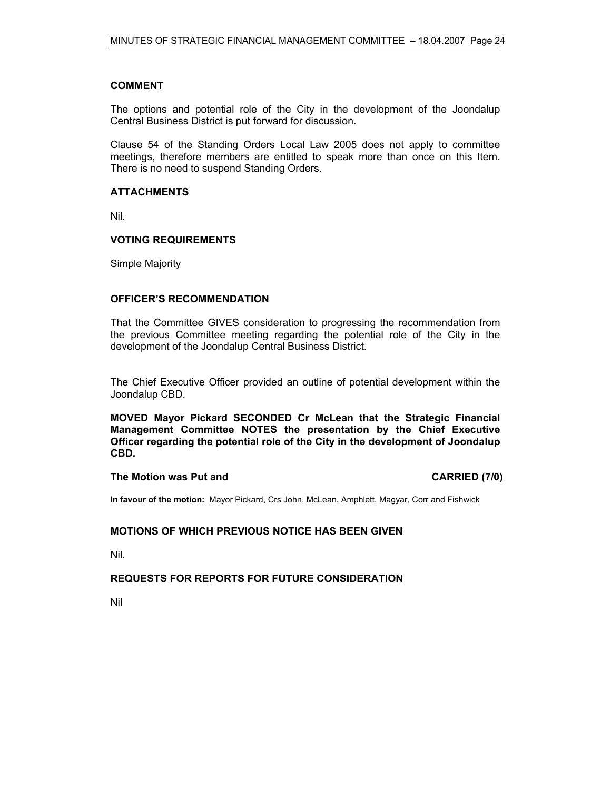#### **COMMENT**

The options and potential role of the City in the development of the Joondalup Central Business District is put forward for discussion.

Clause 54 of the Standing Orders Local Law 2005 does not apply to committee meetings, therefore members are entitled to speak more than once on this Item. There is no need to suspend Standing Orders.

#### **ATTACHMENTS**

Nil.

#### **VOTING REQUIREMENTS**

Simple Majority

#### **OFFICER'S RECOMMENDATION**

That the Committee GIVES consideration to progressing the recommendation from the previous Committee meeting regarding the potential role of the City in the development of the Joondalup Central Business District.

The Chief Executive Officer provided an outline of potential development within the Joondalup CBD.

**MOVED Mayor Pickard SECONDED Cr McLean that the Strategic Financial Management Committee NOTES the presentation by the Chief Executive Officer regarding the potential role of the City in the development of Joondalup CBD.** 

#### The Motion was Put and **CARRIED** (7/0)

**In favour of the motion:** Mayor Pickard, Crs John, McLean, Amphlett, Magyar, Corr and Fishwick

#### **MOTIONS OF WHICH PREVIOUS NOTICE HAS BEEN GIVEN**

Nil.

#### **REQUESTS FOR REPORTS FOR FUTURE CONSIDERATION**

Nil